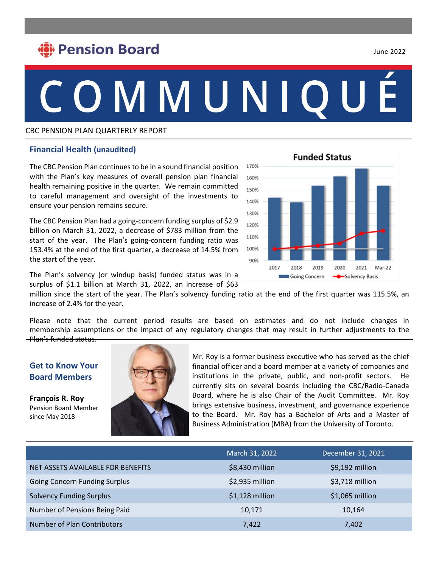## **Pension Board**

# COMMUNIQU

#### CBC PENSION PLAN QUARTERLY REPORT

#### • **Financial Health (unaudited)**

170% 160% 150% 140% 130% 120% 110% 100% 90% 2017 2019 2020 2021 2018 Mar-22 Going Concern Solvency Basis

**Funded Status** 

The CBC Pension Plan continues to be in a sound financial position with the Plan's key measures of overall pension plan financial health remaining positive in the quarter. We remain committed to careful management and oversight of the investments to ensure your pension remains secure.

The CBC Pension Plan had a going-concern funding surplus of \$2.9 billion on March 31, 2022, a decrease of \$783 million from the start of the year. The Plan's going-concern funding ratio was 153.4% at the end of the first quarter, a decrease of 14.5% from the start of the year.

The Plan's solvency (or windup basis) funded status was in a surplus of \$1.1 billion at March 31, 2022, an increase of \$63

million since the start of the year. The Plan's solvency funding ratio at the end of the first quarter was 115.5%, an increase of 2.4% for the year.

Please note that the current period results are based on estimates and do not include changes in membership assumptions or the impact of any regulatory changes that may result in further adjustments to the Plan's funded status.

#### **Get to Know Your Board Members**

**François R. Roy** Pension Board Member since May 2018



Mr. Roy is a former business executive who has served as the chief financial officer and a board member at a variety of companies and institutions in the private, public, and non-profit sectors. He currently sits on several boards including the CBC/Radio-Canada Board, where he is also Chair of the Audit Committee. Mr. Roy brings extensive business, investment, and governance experience to the Board. Mr. Roy has a Bachelor of Arts and a Master of Business Administration (MBA) from the University of Toronto.

|                                      | March 31, 2022   | December 31, 2021 |
|--------------------------------------|------------------|-------------------|
| NET ASSETS AVAILABLE FOR BENEFITS    | \$8,430 million  | \$9,192 million   |
| <b>Going Concern Funding Surplus</b> | \$2,935 million  | \$3,718 million   |
| <b>Solvency Funding Surplus</b>      | $$1,128$ million | \$1,065 million   |
| Number of Pensions Being Paid        | 10,171           | 10.164            |
| Number of Plan Contributors          | 7,422            | 7,402             |

June 2022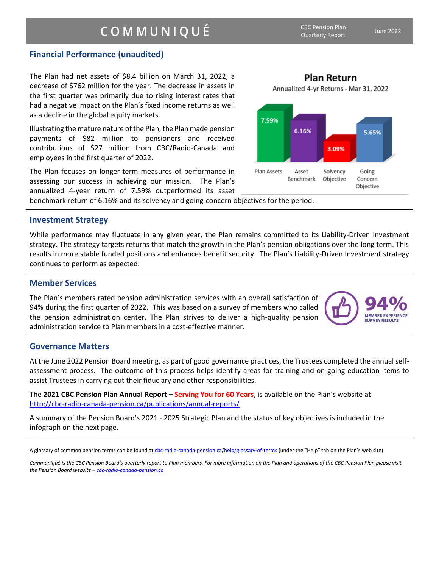### COMMUNIQUÉ

CBC Pension Plan Quarterly Report June <sup>2022</sup>

**Plan Return** Annualized 4-yr Returns - Mar 31, 2022

**MEMBER EXPERIENCE SURVEY RESULTS** 

#### **Financial Performance (unaudited)**

The Plan had net assets of \$8.4 billion on March 31, 2022, a decrease of \$762 million for the year. The decrease in assets in the first quarter was primarily due to rising interest rates that had a negative impact on the Plan's fixed income returns as well as a decline in the global equity markets.

Illustrating the mature nature of the Plan, the Plan made pension payments of \$82 million to pensioners and received contributions of \$27 million from CBC/Radio-Canada and employees in the first quarter of 2022.

The Plan focuses on longer-term measures of performance in assessing our success in achieving our mission. The Plan's annualized 4-year return of 7.59% outperformed its asset

benchmark return of 6.16% and its solvency and going-concern objectives for the period.

#### **Investment Strategy**

While performance may fluctuate in any given year, the Plan remains committed to its Liability-Driven Investment strategy. The strategy targets returns that match the growth in the Plan's pension obligations over the long term. This results in more stable funded positions and enhances benefit security. The Plan's Liability-Driven Investment strategy continues to perform as expected.

#### **Member Services**

The Plan's members rated pension administration services with an overall satisfaction of 94% during the first quarter of 2022. This was based on a survey of members who called the pension administration center. The Plan strives to deliver a high-quality pension administration service to Plan members in a cost-effective manner.

#### **Governance Matters**

At the June 2022 Pension Board meeting, as part of good governance practices, the Trustees completed the annual selfassessment process. The outcome of this process helps identify areas for training and on-going education items to assist Trustees in carrying out their fiduciary and other responsibilities.

The **2021 CBC Pension Plan Annual Report – Serving You for 60 Years**, is available on the Plan's website at: <http://cbc-radio-canada-pension.ca/publications/annual-reports/>

A summary of the Pension Board's 2021 - 2025 Strategic Plan and the status of key objectives is included in the infograph on the next page.



A glossary of common pension terms can be found at cbc-radio-canada-pension.ca/help/glossary-of-terms (under the "Help" tab on the Plan's web site)

*Communiqué is the CBC Pension Board's quarterly report to Plan members. For more information on the Plan and operations of the CBC Pension Plan please visit the Pension Board website – [cbc-radio-canada-pension.ca](http://www.cbc-radio-canada-pension.ca/)*